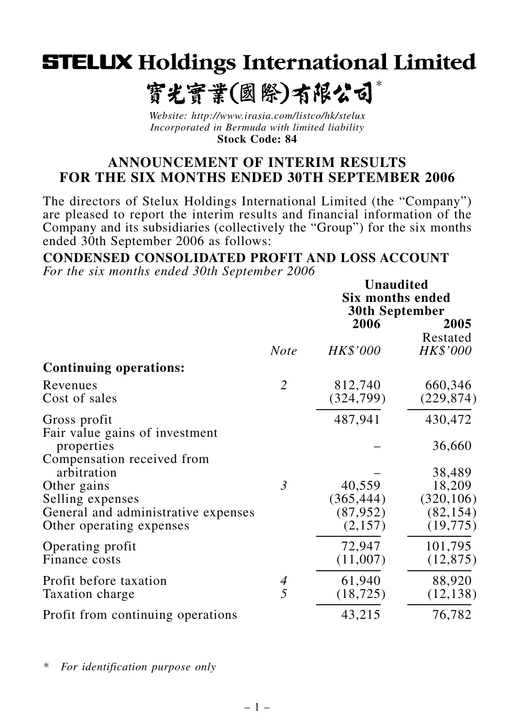# **STELUX Holdings International Limited**

#### *\** 寳光寳業(國際)有限公司

*Website: http://www.irasia.com/listco/hk/stelux Incorporated in Bermuda with limited liability* **Stock Code: 84**

#### **ANNOUNCEMENT OF INTERIM RESULTS FOR THE SIX MONTHS ENDED 30TH SEPTEMBER 2006**

The directors of Stelux Holdings International Limited (the "Company") are pleased to report the interim results and financial information of the Company and its subsidiaries (collectively the "Group") for the six months ended 30th September 2006 as follows:

 **<b>U** 

**CONDENSED CONSOLIDATED PROFIT AND LOSS ACCOUNT**

*For the six months ended 30th September 2006*

|                                              |                | Unaudited<br><b>Six months ended</b><br><b>30th September</b> |                  |
|----------------------------------------------|----------------|---------------------------------------------------------------|------------------|
|                                              |                | 2006                                                          | 2005<br>Restated |
|                                              | <b>Note</b>    | HK\$'000                                                      | HK\$'000         |
| <b>Continuing operations:</b>                |                |                                                               |                  |
| Revenues                                     | $\overline{2}$ | 812,740                                                       | 660,346          |
| Cost of sales                                |                | (324, 799)                                                    | (229, 874)       |
| Gross profit                                 |                | 487,941                                                       | 430,472          |
| Fair value gains of investment<br>properties |                |                                                               | 36,660           |
| Compensation received from<br>arbitration    |                |                                                               | 38,489           |
| Other gains                                  | $\mathfrak{Z}$ | 40,559                                                        | 18,209           |
| Selling expenses                             |                | (365, 444)                                                    | (320, 106)       |
| General and administrative expenses          |                | (87, 952)                                                     | (82, 154)        |
| Other operating expenses                     |                | (2,157)                                                       | (19, 775)        |
| Operating profit                             |                | 72,947                                                        | 101,795          |
| Finance costs                                |                | (11,007)                                                      | (12, 875)        |
| Profit before taxation                       |                | 61,940                                                        | 88,920           |
| Taxation charge                              | $\frac{4}{5}$  | (18, 725)                                                     | (12, 138)        |
| Profit from continuing operations            |                | 43,215                                                        | 76,782           |

*\* For identification purpose only*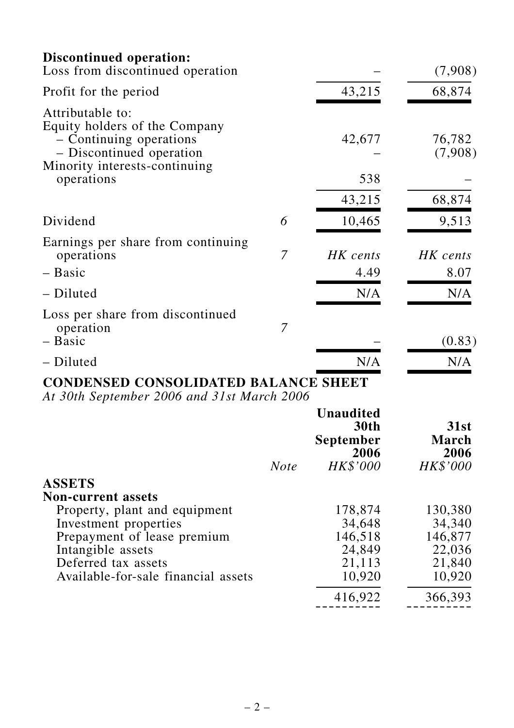| Discontinued operation:                                                                                  |   |                  |                   |
|----------------------------------------------------------------------------------------------------------|---|------------------|-------------------|
| Loss from discontinued operation                                                                         |   |                  | (7,908)           |
| Profit for the period                                                                                    |   | 43,215           | 68,874            |
| Attributable to:<br>Equity holders of the Company<br>- Continuing operations<br>- Discontinued operation |   | 42,677           | 76,782<br>(7,908) |
| Minority interests-continuing<br>operations                                                              |   | 538              |                   |
|                                                                                                          |   | 43,215           | 68,874            |
| Dividend                                                                                                 | 6 | 10,465           | 9,513             |
| Earnings per share from continuing<br>operations<br>- Basic                                              | 7 | HK cents<br>4.49 | HK cents<br>8.07  |
| - Diluted                                                                                                |   | N/A              | N/A               |
| Loss per share from discontinued<br>operation<br>- Basic                                                 | 7 |                  | (0.83)            |
| - Diluted                                                                                                |   | N/A              | N/A               |
|                                                                                                          |   |                  |                   |

## **CONDENSED CONSOLIDATED BALANCE SHEET**

*At 30th September 2006 and 31st March 2006*

| HK\$'000 | 2006<br>HK\$'000 |
|----------|------------------|
|          |                  |
|          |                  |
|          |                  |
| 178,874  | 130,380          |
| 34,648   | 34,340           |
| 146,518  | 146,877          |
|          | 22,036           |
|          | 21,840           |
| 10,920   | 10,920           |
| 416,922  | 366,393          |
|          | 24,849<br>21,113 |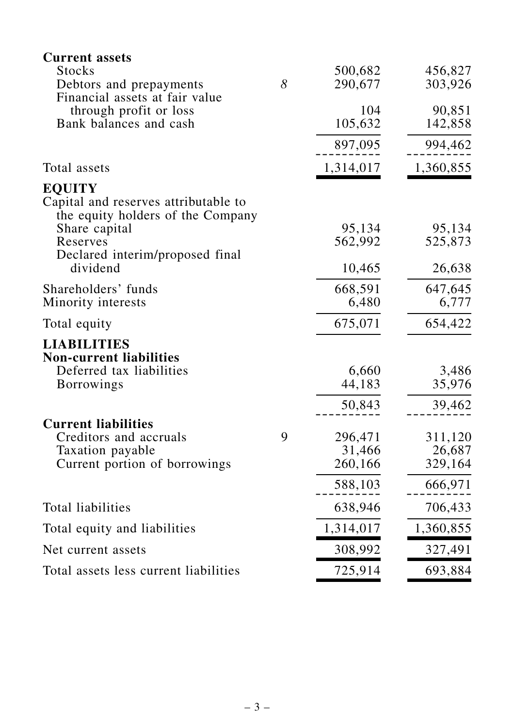| <b>Current assets</b>                                                                                       |   |           |           |
|-------------------------------------------------------------------------------------------------------------|---|-----------|-----------|
| <b>Stocks</b>                                                                                               |   | 500,682   | 456,827   |
| Debtors and prepayments<br>Financial assets at fair value                                                   | 8 | 290,677   | 303,926   |
| through profit or loss                                                                                      |   | 104       | 90,851    |
| Bank balances and cash                                                                                      |   | 105,632   | 142,858   |
|                                                                                                             |   | 897,095   | 994,462   |
| Total assets                                                                                                |   | 1,314,017 | 1,360,855 |
| <b>EQUITY</b><br>Capital and reserves attributable to<br>the equity holders of the Company<br>Share capital |   | 95,134    | 95,134    |
| Reserves                                                                                                    |   | 562,992   | 525,873   |
| Declared interim/proposed final<br>dividend                                                                 |   | 10,465    | 26,638    |
| Shareholders' funds                                                                                         |   | 668,591   | 647,645   |
| Minority interests                                                                                          |   | 6,480     | 6,777     |
| Total equity                                                                                                |   | 675,071   | 654,422   |
| <b>LIABILITIES</b><br><b>Non-current liabilities</b>                                                        |   |           |           |
| Deferred tax liabilities                                                                                    |   | 6,660     | 3,486     |
| <b>Borrowings</b>                                                                                           |   | 44,183    | 35,976    |
|                                                                                                             |   | 50,843    | 39,462    |
| <b>Current liabilities</b>                                                                                  |   |           |           |
| Creditors and accruals                                                                                      | 9 | 296,471   | 311,120   |
| Taxation payable                                                                                            |   | 31,466    | 26,687    |
| Current portion of borrowings                                                                               |   | 260,166   | 329,164   |
|                                                                                                             |   | 588,103   | 666,971   |
| Total liabilities                                                                                           |   | 638,946   | 706,433   |
| Total equity and liabilities                                                                                |   | 1,314,017 | 1,360,855 |
| Net current assets                                                                                          |   | 308,992   | 327,491   |
| Total assets less current liabilities                                                                       |   | 725,914   | 693,884   |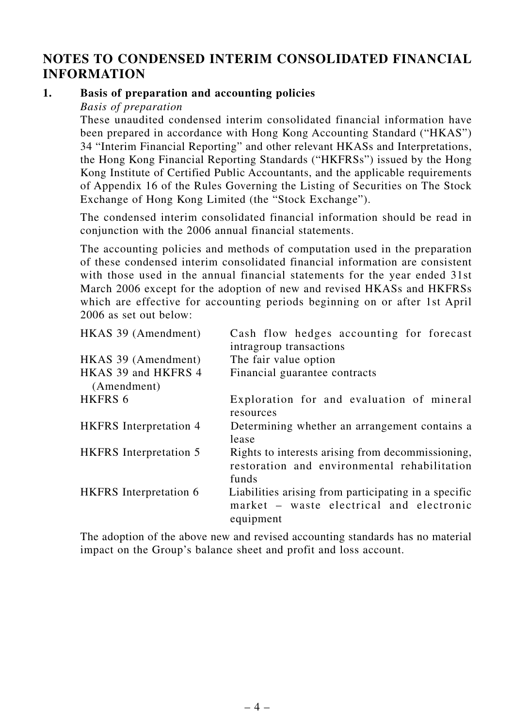#### **NOTES TO CONDENSED INTERIM CONSOLIDATED FINANCIAL INFORMATION**

#### **1. Basis of preparation and accounting policies**

*Basis of preparation*

These unaudited condensed interim consolidated financial information have been prepared in accordance with Hong Kong Accounting Standard ("HKAS") 34 "Interim Financial Reporting" and other relevant HKASs and Interpretations, the Hong Kong Financial Reporting Standards ("HKFRSs") issued by the Hong Kong Institute of Certified Public Accountants, and the applicable requirements of Appendix 16 of the Rules Governing the Listing of Securities on The Stock Exchange of Hong Kong Limited (the "Stock Exchange").

The condensed interim consolidated financial information should be read in conjunction with the 2006 annual financial statements.

The accounting policies and methods of computation used in the preparation of these condensed interim consolidated financial information are consistent with those used in the annual financial statements for the year ended 31st March 2006 except for the adoption of new and revised HKASs and HKFRSs which are effective for accounting periods beginning on or after 1st April 2006 as set out below:

| HKAS 39 (Amendment)                | Cash flow hedges accounting for forecast<br>intragroup transactions                                           |
|------------------------------------|---------------------------------------------------------------------------------------------------------------|
| HKAS 39 (Amendment)                | The fair value option                                                                                         |
| HKAS 39 and HKFRS 4<br>(Amendment) | Financial guarantee contracts                                                                                 |
| <b>HKFRS 6</b>                     | Exploration for and evaluation of mineral<br>resources                                                        |
| <b>HKFRS</b> Interpretation 4      | Determining whether an arrangement contains a<br>lease                                                        |
| <b>HKFRS</b> Interpretation 5      | Rights to interests arising from decommissioning,<br>restoration and environmental rehabilitation<br>funds    |
| <b>HKFRS</b> Interpretation 6      | Liabilities arising from participating in a specific<br>market – waste electrical and electronic<br>equipment |

The adoption of the above new and revised accounting standards has no material impact on the Group's balance sheet and profit and loss account.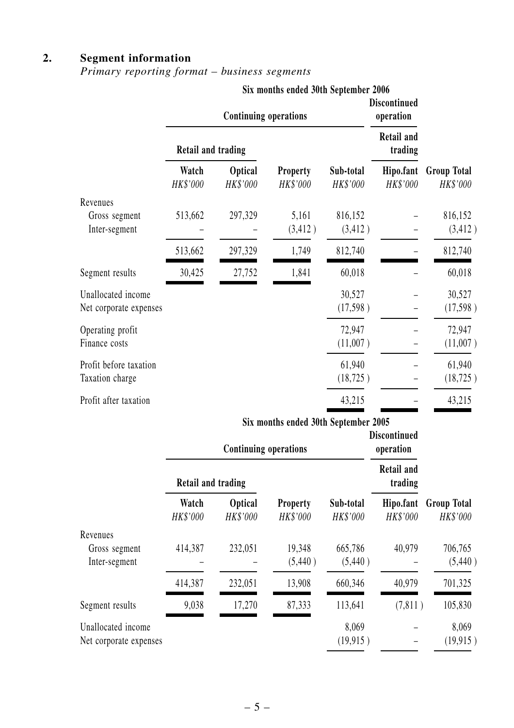#### **2. Segment information**

#### *Primary reporting format – business segments*

|                                              |                           |                              | Six months ended 30th September 2006<br><b>Discontinued</b><br><b>Continuing operations</b><br>operation |                       |                              |                                |
|----------------------------------------------|---------------------------|------------------------------|----------------------------------------------------------------------------------------------------------|-----------------------|------------------------------|--------------------------------|
|                                              | <b>Retail and trading</b> |                              |                                                                                                          |                       | <b>Retail and</b><br>trading |                                |
|                                              | Watch<br>HK\$'000         | <b>Optical</b><br>HK\$'000   | <b>Property</b><br>HK\$'000                                                                              | Sub-total<br>HK\$'000 | Hipo.fant<br>HK\$'000        | <b>Group Total</b><br>HK\$'000 |
| Revenues<br>Gross segment<br>Inter-segment   | 513,662                   | 297,329                      | 5,161<br>(3, 412)                                                                                        | 816,152<br>(3, 412)   |                              | 816,152<br>(3, 412)            |
|                                              | 513,662                   | 297,329                      | 1,749                                                                                                    | 812,740               |                              | 812,740                        |
| Segment results                              | 30,425                    | 27,752                       | 1,841                                                                                                    | 60,018                |                              | 60,018                         |
| Unallocated income<br>Net corporate expenses |                           |                              |                                                                                                          | 30,527<br>(17,598)    |                              | 30,527<br>(17,598)             |
| Operating profit<br>Finance costs            |                           |                              |                                                                                                          | 72,947<br>(11,007)    |                              | 72,947<br>(11,007)             |
| Profit before taxation<br>Taxation charge    |                           |                              |                                                                                                          | 61,940<br>(18, 725)   |                              | 61,940<br>(18, 725)            |
| Profit after taxation                        |                           |                              |                                                                                                          | 43,215                |                              | 43,215                         |
|                                              |                           |                              | Six months ended 30th September 2005                                                                     |                       | <b>Discontinued</b>          |                                |
|                                              |                           | <b>Continuing operations</b> |                                                                                                          |                       | operation                    |                                |

|                                              | Continuing operations |                            | UPCL ALIUII                 |                       |                              |                                |
|----------------------------------------------|-----------------------|----------------------------|-----------------------------|-----------------------|------------------------------|--------------------------------|
|                                              | Retail and trading    |                            |                             |                       | <b>Retail and</b><br>trading |                                |
|                                              | Watch<br>HK\$'000     | <b>Optical</b><br>HK\$'000 | <b>Property</b><br>HK\$'000 | Sub-total<br>HK\$'000 | Hipo.fant<br>HK\$'000        | <b>Group Total</b><br>HK\$'000 |
| Revenues                                     |                       |                            |                             |                       |                              |                                |
| Gross segment<br>Inter-segment               | 414,387               | 232,051                    | 19,348<br>(5,440)           | 665,786<br>(5,440)    | 40,979                       | 706,765<br>(5,440)             |
|                                              | 414,387               | 232,051                    | 13,908                      | 660,346               | 40,979                       | 701,325                        |
| Segment results                              | 9,038                 | 17,270                     | 87,333                      | 113,641               | (7,811)                      | 105,830                        |
| Unallocated income<br>Net corporate expenses |                       |                            |                             | 8,069<br>(19, 915)    |                              | 8,069<br>(19, 915)             |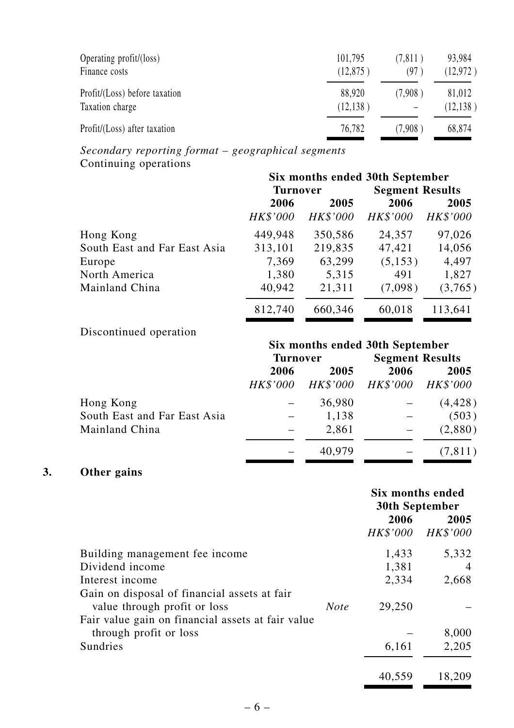| Operating profit/(loss)       | 101,795   | (7,811) | 93,984    |
|-------------------------------|-----------|---------|-----------|
| Finance costs                 | (12,875)  | (97     | (12, 972) |
| Profit/(Loss) before taxation | 88.920    | (7.908) | 81,012    |
| Taxation charge               | (12, 138) |         | (12, 138) |
| Profit/(Loss) after taxation  | 76,782    | (7.908) | 68,874    |

*Secondary reporting format – geographical segments* Continuing operations

|                              | Six months ended 30th September |          |                        |          |  |
|------------------------------|---------------------------------|----------|------------------------|----------|--|
|                              | <b>Turnover</b>                 |          | <b>Segment Results</b> |          |  |
|                              | 2006<br>2005                    |          | 2006                   | 2005     |  |
|                              | HK\$'000                        | HK\$'000 | HK\$'000               | HK\$'000 |  |
| Hong Kong                    | 449,948                         | 350,586  | 24,357                 | 97,026   |  |
| South East and Far East Asia | 313,101                         | 219,835  | 47,421                 | 14,056   |  |
| Europe                       | 7,369                           | 63,299   | (5, 153)               | 4,497    |  |
| North America                | 1,380                           | 5,315    | 491                    | 1,827    |  |
| Mainland China               | 40,942                          | 21,311   | (7,098)                | (3,765)  |  |
|                              | 812,740                         | 660,346  | 60,018                 | 113,641  |  |

#### Discontinued operation

|                              | Six months ended 30th September |                 |                   |                        |
|------------------------------|---------------------------------|-----------------|-------------------|------------------------|
|                              |                                 | <b>Turnover</b> |                   | <b>Segment Results</b> |
|                              | 2006<br>2005                    |                 | 2006              | 2005                   |
|                              | HK\$'000                        | <i>HK\$'000</i> | HK\$'000 HK\$'000 |                        |
| Hong Kong                    |                                 | 36,980          |                   | (4, 428)               |
| South East and Far East Asia |                                 | 1,138           |                   | (503)                  |
| Mainland China               |                                 | 2,861           |                   | (2,880)                |
|                              |                                 | 40,979          |                   | (7, 811)               |

#### **3. Other gains**

|                                                   |             | Six months ended<br>30th September |                 |
|---------------------------------------------------|-------------|------------------------------------|-----------------|
|                                                   |             | 2006                               | 2005            |
|                                                   |             | HK\$'000                           | <b>HK\$'000</b> |
| Building management fee income                    |             | 1,433                              | 5,332           |
| Dividend income                                   |             | 1,381                              | $\overline{4}$  |
| Interest income                                   |             | 2,334                              | 2,668           |
| Gain on disposal of financial assets at fair      |             |                                    |                 |
| value through profit or loss                      | <b>Note</b> | 29,250                             |                 |
| Fair value gain on financial assets at fair value |             |                                    |                 |
| through profit or loss                            |             |                                    | 8,000           |
| Sundries                                          |             | 6,161                              | 2,205           |
|                                                   |             | 40,559                             | 18,209          |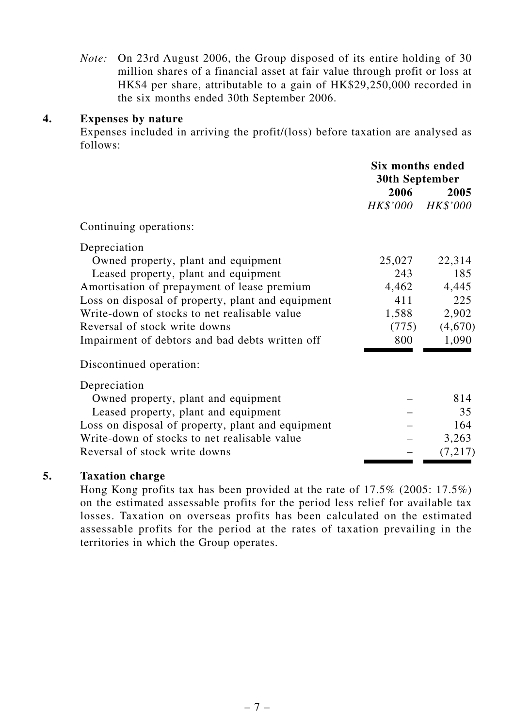*Note:* On 23rd August 2006, the Group disposed of its entire holding of 30 million shares of a financial asset at fair value through profit or loss at HK\$4 per share, attributable to a gain of HK\$29,250,000 recorded in the six months ended 30th September 2006.

#### **4. Expenses by nature**

Expenses included in arriving the profit/(loss) before taxation are analysed as follows:

|                                                   | Six months ended<br>30th September |         |
|---------------------------------------------------|------------------------------------|---------|
|                                                   | 2006                               | 2005    |
|                                                   | HK\$'000 HK\$'000                  |         |
| Continuing operations:                            |                                    |         |
| Depreciation                                      |                                    |         |
| Owned property, plant and equipment               | 25,027                             | 22,314  |
| Leased property, plant and equipment              | 243                                | 185     |
| Amortisation of prepayment of lease premium       | 4,462                              | 4,445   |
| Loss on disposal of property, plant and equipment | 411                                | 225     |
| Write-down of stocks to net realisable value      | 1,588                              | 2,902   |
| Reversal of stock write downs                     | (775)                              | (4,670) |
| Impairment of debtors and bad debts written off   | 800                                | 1,090   |
| Discontinued operation:                           |                                    |         |
| Depreciation                                      |                                    |         |
| Owned property, plant and equipment               |                                    | 814     |
| Leased property, plant and equipment              |                                    | 35      |
| Loss on disposal of property, plant and equipment |                                    | 164     |
| Write-down of stocks to net realisable value      |                                    | 3,263   |
| Reversal of stock write downs                     |                                    | (7,217) |

#### **5. Taxation charge**

Hong Kong profits tax has been provided at the rate of 17.5% (2005: 17.5%) on the estimated assessable profits for the period less relief for available tax losses. Taxation on overseas profits has been calculated on the estimated assessable profits for the period at the rates of taxation prevailing in the territories in which the Group operates.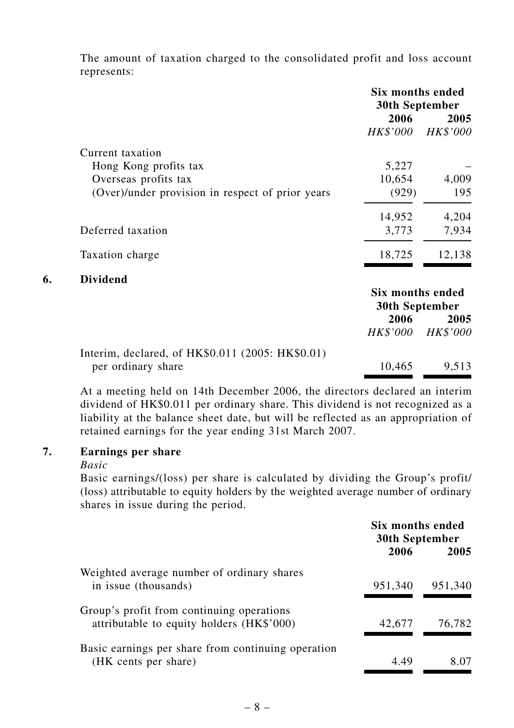The amount of taxation charged to the consolidated profit and loss account represents:

|                                                  | <b>Six months ended</b><br>30th September |          |
|--------------------------------------------------|-------------------------------------------|----------|
|                                                  | 2006                                      | 2005     |
|                                                  | HK\$'000                                  | HK\$'000 |
| Current taxation                                 |                                           |          |
| Hong Kong profits tax                            | 5,227                                     |          |
| Overseas profits tax                             | 10,654                                    | 4,009    |
| (Over)/under provision in respect of prior years | (929)                                     | 195      |
|                                                  | 14,952                                    | 4,204    |
| Deferred taxation                                | 3,773                                     | 7,934    |
| Taxation charge                                  | 18,725                                    | 12,138   |
| <b>Dividend</b><br>6.                            |                                           |          |
|                                                  | Six months ended<br>30th September        |          |
|                                                  |                                           |          |
|                                                  | 2006                                      | 2005     |
|                                                  | <i>HK\$'000</i>                           | HK\$'000 |
| Interim, declared, of HK\$0.011 (2005: HK\$0.01) |                                           |          |
| per ordinary share                               | 10,465                                    | 9,513    |

At a meeting held on 14th December 2006, the directors declared an interim dividend of HK\$0.011 per ordinary share. This dividend is not recognized as a liability at the balance sheet date, but will be reflected as an appropriation of retained earnings for the year ending 31st March 2007.

#### **7. Earnings per share**

#### *Basic*

Basic earnings/(loss) per share is calculated by dividing the Group's profit/ (loss) attributable to equity holders by the weighted average number of ordinary shares in issue during the period.

|                                                                                        | Six months ended<br><b>30th September</b> |         |
|----------------------------------------------------------------------------------------|-------------------------------------------|---------|
|                                                                                        | 2006                                      | 2005    |
| Weighted average number of ordinary shares<br>in issue (thousands)                     | 951,340                                   | 951,340 |
| Group's profit from continuing operations<br>attributable to equity holders (HK\$'000) | 42,677                                    | 76,782  |
| Basic earnings per share from continuing operation<br>(HK cents per share)             | 4.49                                      | 8.07    |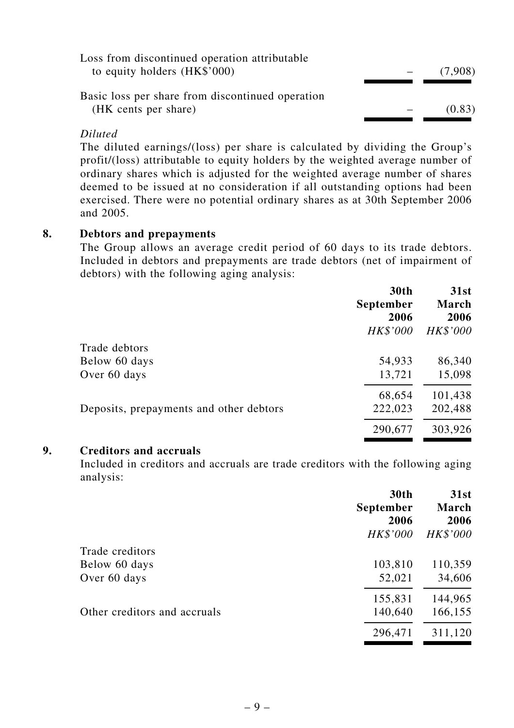| Loss from discontinued operation attributable    |         |
|--------------------------------------------------|---------|
| to equity holders $(HK$'000)$                    | (7,908) |
|                                                  |         |
| Basic loss per share from discontinued operation |         |
| (HK cents per share)                             | (0.83)  |
|                                                  |         |

#### *Diluted*

The diluted earnings/(loss) per share is calculated by dividing the Group's profit/(loss) attributable to equity holders by the weighted average number of ordinary shares which is adjusted for the weighted average number of shares deemed to be issued at no consideration if all outstanding options had been exercised. There were no potential ordinary shares as at 30th September 2006 and 2005.

#### **8. Debtors and prepayments**

The Group allows an average credit period of 60 days to its trade debtors. Included in debtors and prepayments are trade debtors (net of impairment of debtors) with the following aging analysis:

|                                         | <b>30th</b><br>September<br>2006 | 31st<br><b>March</b><br>2006 |
|-----------------------------------------|----------------------------------|------------------------------|
|                                         | HK\$'000                         | HK\$'000                     |
| Trade debtors                           |                                  |                              |
| Below 60 days                           | 54,933                           | 86,340                       |
| Over 60 days                            | 13,721                           | 15,098                       |
|                                         | 68,654                           | 101,438                      |
| Deposits, prepayments and other debtors | 222,023                          | 202,488                      |
|                                         | 290,677                          | 303,926                      |

#### **9. Creditors and accruals**

Included in creditors and accruals are trade creditors with the following aging analysis:

|                              | 30th<br><b>September</b><br>2006<br>HK\$'000 | 31st<br>March<br>2006<br><b>HK\$'000</b> |
|------------------------------|----------------------------------------------|------------------------------------------|
| Trade creditors              |                                              |                                          |
| Below 60 days                | 103,810                                      | 110,359                                  |
| Over 60 days                 | 52,021                                       | 34,606                                   |
|                              | 155,831                                      | 144,965                                  |
| Other creditors and accruals | 140,640                                      | 166,155                                  |
|                              | 296,471                                      | 311,120                                  |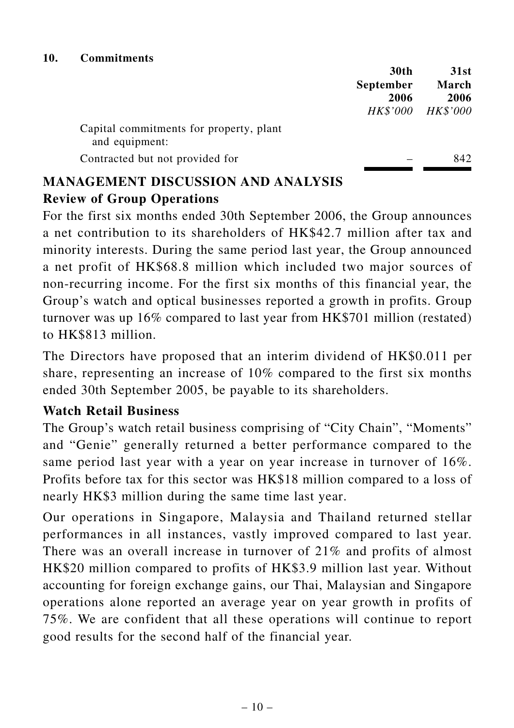|                                                           | 30th<br><b>September</b><br>2006<br>HK\$'000 | 31st<br>March<br>2006<br><i>HK\$'000</i> |
|-----------------------------------------------------------|----------------------------------------------|------------------------------------------|
|                                                           |                                              |                                          |
| Capital commitments for property, plant<br>and equipment: |                                              |                                          |
| Contracted but not provided for                           |                                              | 842.                                     |

## **MANAGEMENT DISCUSSION AND ANALYSIS Review of Group Operations**

For the first six months ended 30th September 2006, the Group announces a net contribution to its shareholders of HK\$42.7 million after tax and minority interests. During the same period last year, the Group announced a net profit of HK\$68.8 million which included two major sources of non-recurring income. For the first six months of this financial year, the Group's watch and optical businesses reported a growth in profits. Group turnover was up 16% compared to last year from HK\$701 million (restated) to HK\$813 million.

The Directors have proposed that an interim dividend of HK\$0.011 per share, representing an increase of 10% compared to the first six months ended 30th September 2005, be payable to its shareholders.

#### **Watch Retail Business**

The Group's watch retail business comprising of "City Chain", "Moments" and "Genie" generally returned a better performance compared to the same period last year with a year on year increase in turnover of 16%. Profits before tax for this sector was HK\$18 million compared to a loss of nearly HK\$3 million during the same time last year.

Our operations in Singapore, Malaysia and Thailand returned stellar performances in all instances, vastly improved compared to last year. There was an overall increase in turnover of 21% and profits of almost HK\$20 million compared to profits of HK\$3.9 million last year. Without accounting for foreign exchange gains, our Thai, Malaysian and Singapore operations alone reported an average year on year growth in profits of 75%. We are confident that all these operations will continue to report good results for the second half of the financial year.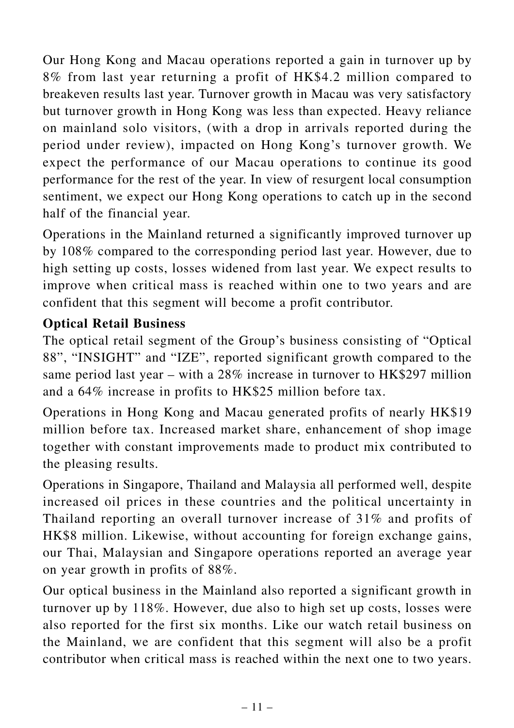Our Hong Kong and Macau operations reported a gain in turnover up by 8% from last year returning a profit of HK\$4.2 million compared to breakeven results last year. Turnover growth in Macau was very satisfactory but turnover growth in Hong Kong was less than expected. Heavy reliance on mainland solo visitors, (with a drop in arrivals reported during the period under review), impacted on Hong Kong's turnover growth. We expect the performance of our Macau operations to continue its good performance for the rest of the year. In view of resurgent local consumption sentiment, we expect our Hong Kong operations to catch up in the second half of the financial year.

Operations in the Mainland returned a significantly improved turnover up by 108% compared to the corresponding period last year. However, due to high setting up costs, losses widened from last year. We expect results to improve when critical mass is reached within one to two years and are confident that this segment will become a profit contributor.

## **Optical Retail Business**

The optical retail segment of the Group's business consisting of "Optical 88", "INSIGHT" and "IZE", reported significant growth compared to the same period last year – with a 28% increase in turnover to HK\$297 million and a 64% increase in profits to HK\$25 million before tax.

Operations in Hong Kong and Macau generated profits of nearly HK\$19 million before tax. Increased market share, enhancement of shop image together with constant improvements made to product mix contributed to the pleasing results.

Operations in Singapore, Thailand and Malaysia all performed well, despite increased oil prices in these countries and the political uncertainty in Thailand reporting an overall turnover increase of 31% and profits of HK\$8 million. Likewise, without accounting for foreign exchange gains, our Thai, Malaysian and Singapore operations reported an average year on year growth in profits of 88%.

Our optical business in the Mainland also reported a significant growth in turnover up by 118%. However, due also to high set up costs, losses were also reported for the first six months. Like our watch retail business on the Mainland, we are confident that this segment will also be a profit contributor when critical mass is reached within the next one to two years.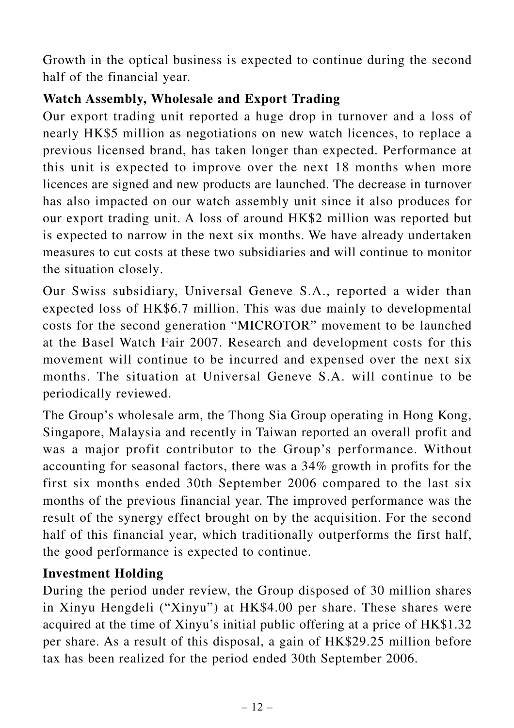Growth in the optical business is expected to continue during the second half of the financial year.

## **Watch Assembly, Wholesale and Export Trading**

Our export trading unit reported a huge drop in turnover and a loss of nearly HK\$5 million as negotiations on new watch licences, to replace a previous licensed brand, has taken longer than expected. Performance at this unit is expected to improve over the next 18 months when more licences are signed and new products are launched. The decrease in turnover has also impacted on our watch assembly unit since it also produces for our export trading unit. A loss of around HK\$2 million was reported but is expected to narrow in the next six months. We have already undertaken measures to cut costs at these two subsidiaries and will continue to monitor the situation closely.

Our Swiss subsidiary, Universal Geneve S.A., reported a wider than expected loss of HK\$6.7 million. This was due mainly to developmental costs for the second generation "MICROTOR" movement to be launched at the Basel Watch Fair 2007. Research and development costs for this movement will continue to be incurred and expensed over the next six months. The situation at Universal Geneve S.A. will continue to be periodically reviewed.

The Group's wholesale arm, the Thong Sia Group operating in Hong Kong, Singapore, Malaysia and recently in Taiwan reported an overall profit and was a major profit contributor to the Group's performance. Without accounting for seasonal factors, there was a 34% growth in profits for the first six months ended 30th September 2006 compared to the last six months of the previous financial year. The improved performance was the result of the synergy effect brought on by the acquisition. For the second half of this financial year, which traditionally outperforms the first half, the good performance is expected to continue.

#### **Investment Holding**

During the period under review, the Group disposed of 30 million shares in Xinyu Hengdeli ("Xinyu") at HK\$4.00 per share. These shares were acquired at the time of Xinyu's initial public offering at a price of HK\$1.32 per share. As a result of this disposal, a gain of HK\$29.25 million before tax has been realized for the period ended 30th September 2006.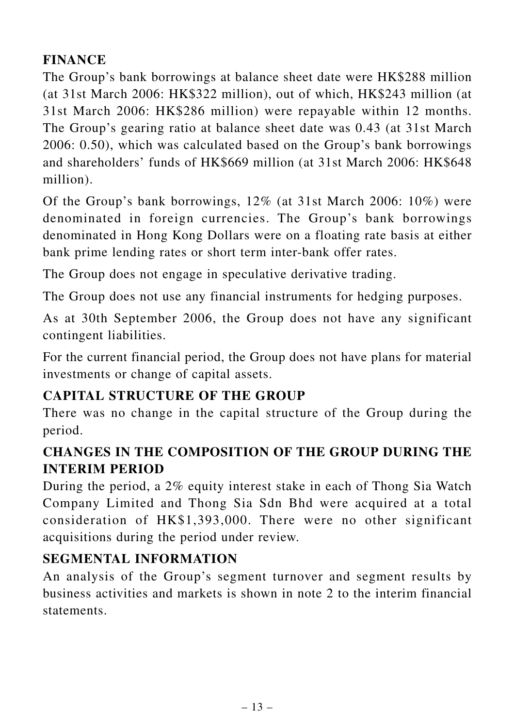## **FINANCE**

The Group's bank borrowings at balance sheet date were HK\$288 million (at 31st March 2006: HK\$322 million), out of which, HK\$243 million (at 31st March 2006: HK\$286 million) were repayable within 12 months. The Group's gearing ratio at balance sheet date was 0.43 (at 31st March 2006: 0.50), which was calculated based on the Group's bank borrowings and shareholders' funds of HK\$669 million (at 31st March 2006: HK\$648 million).

Of the Group's bank borrowings, 12% (at 31st March 2006: 10%) were denominated in foreign currencies. The Group's bank borrowings denominated in Hong Kong Dollars were on a floating rate basis at either bank prime lending rates or short term inter-bank offer rates.

The Group does not engage in speculative derivative trading.

The Group does not use any financial instruments for hedging purposes.

As at 30th September 2006, the Group does not have any significant contingent liabilities.

For the current financial period, the Group does not have plans for material investments or change of capital assets.

## **CAPITAL STRUCTURE OF THE GROUP**

There was no change in the capital structure of the Group during the period.

## **CHANGES IN THE COMPOSITION OF THE GROUP DURING THE INTERIM PERIOD**

During the period, a 2% equity interest stake in each of Thong Sia Watch Company Limited and Thong Sia Sdn Bhd were acquired at a total consideration of HK\$1,393,000. There were no other significant acquisitions during the period under review.

## **SEGMENTAL INFORMATION**

An analysis of the Group's segment turnover and segment results by business activities and markets is shown in note 2 to the interim financial statements.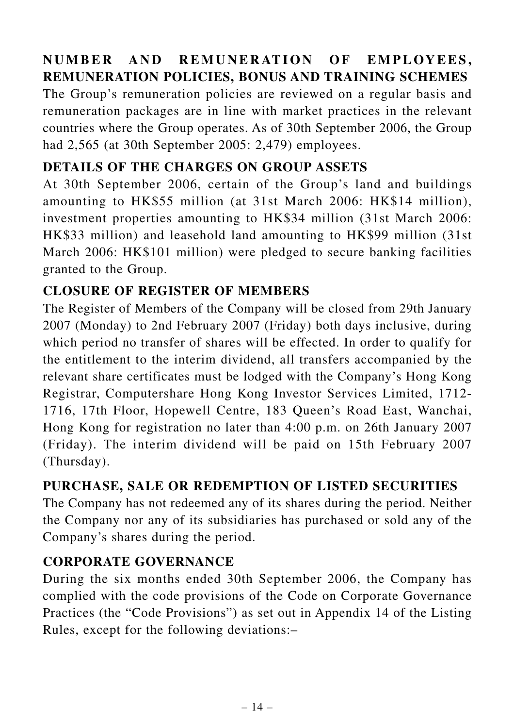## **NUMBER AND REMUNERATION OF EMPLOYEES, REMUNERATION POLICIES, BONUS AND TRAINING SCHEMES**

The Group's remuneration policies are reviewed on a regular basis and remuneration packages are in line with market practices in the relevant countries where the Group operates. As of 30th September 2006, the Group had 2,565 (at 30th September 2005: 2,479) employees.

#### **DETAILS OF THE CHARGES ON GROUP ASSETS**

At 30th September 2006, certain of the Group's land and buildings amounting to HK\$55 million (at 31st March 2006: HK\$14 million), investment properties amounting to HK\$34 million (31st March 2006: HK\$33 million) and leasehold land amounting to HK\$99 million (31st March 2006: HK\$101 million) were pledged to secure banking facilities granted to the Group.

#### **CLOSURE OF REGISTER OF MEMBERS**

The Register of Members of the Company will be closed from 29th January 2007 (Monday) to 2nd February 2007 (Friday) both days inclusive, during which period no transfer of shares will be effected. In order to qualify for the entitlement to the interim dividend, all transfers accompanied by the relevant share certificates must be lodged with the Company's Hong Kong Registrar, Computershare Hong Kong Investor Services Limited, 1712- 1716, 17th Floor, Hopewell Centre, 183 Queen's Road East, Wanchai, Hong Kong for registration no later than 4:00 p.m. on 26th January 2007 (Friday). The interim dividend will be paid on 15th February 2007 (Thursday).

#### **PURCHASE, SALE OR REDEMPTION OF LISTED SECURITIES**

The Company has not redeemed any of its shares during the period. Neither the Company nor any of its subsidiaries has purchased or sold any of the Company's shares during the period.

#### **CORPORATE GOVERNANCE**

During the six months ended 30th September 2006, the Company has complied with the code provisions of the Code on Corporate Governance Practices (the "Code Provisions") as set out in Appendix 14 of the Listing Rules, except for the following deviations:–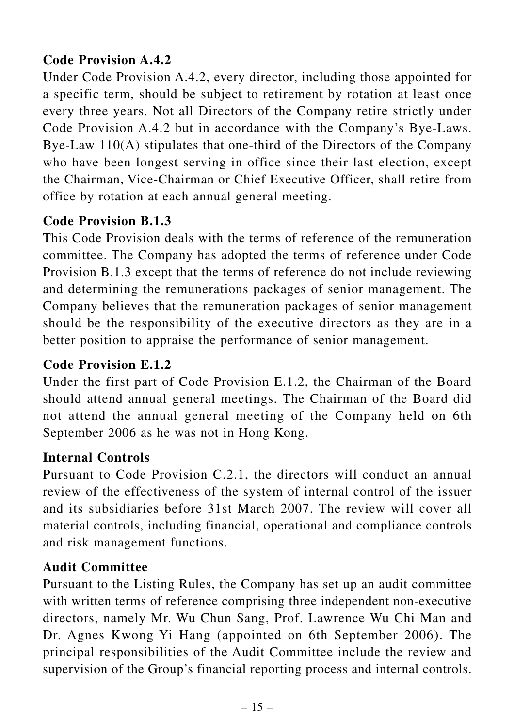## **Code Provision A.4.2**

Under Code Provision A.4.2, every director, including those appointed for a specific term, should be subject to retirement by rotation at least once every three years. Not all Directors of the Company retire strictly under Code Provision A.4.2 but in accordance with the Company's Bye-Laws. Bye-Law 110(A) stipulates that one-third of the Directors of the Company who have been longest serving in office since their last election, except the Chairman, Vice-Chairman or Chief Executive Officer, shall retire from office by rotation at each annual general meeting.

#### **Code Provision B.1.3**

This Code Provision deals with the terms of reference of the remuneration committee. The Company has adopted the terms of reference under Code Provision B.1.3 except that the terms of reference do not include reviewing and determining the remunerations packages of senior management. The Company believes that the remuneration packages of senior management should be the responsibility of the executive directors as they are in a better position to appraise the performance of senior management.

#### **Code Provision E.1.2**

Under the first part of Code Provision E.1.2, the Chairman of the Board should attend annual general meetings. The Chairman of the Board did not attend the annual general meeting of the Company held on 6th September 2006 as he was not in Hong Kong.

## **Internal Controls**

Pursuant to Code Provision C.2.1, the directors will conduct an annual review of the effectiveness of the system of internal control of the issuer and its subsidiaries before 31st March 2007. The review will cover all material controls, including financial, operational and compliance controls and risk management functions.

#### **Audit Committee**

Pursuant to the Listing Rules, the Company has set up an audit committee with written terms of reference comprising three independent non-executive directors, namely Mr. Wu Chun Sang, Prof. Lawrence Wu Chi Man and Dr. Agnes Kwong Yi Hang (appointed on 6th September 2006). The principal responsibilities of the Audit Committee include the review and supervision of the Group's financial reporting process and internal controls.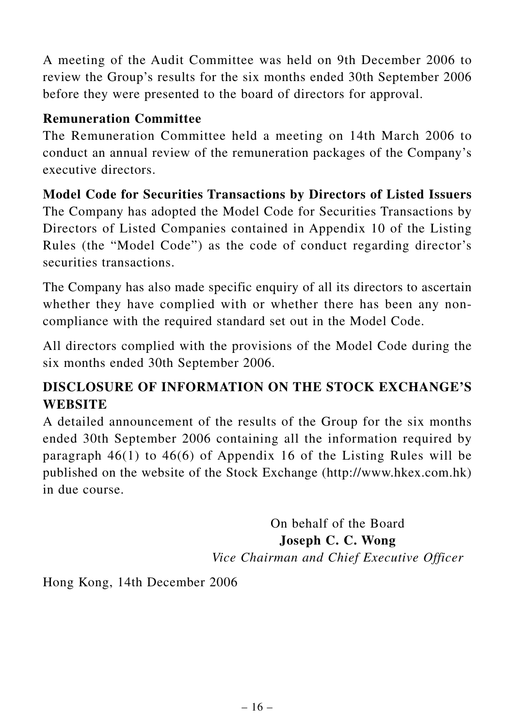A meeting of the Audit Committee was held on 9th December 2006 to review the Group's results for the six months ended 30th September 2006 before they were presented to the board of directors for approval.

#### **Remuneration Committee**

The Remuneration Committee held a meeting on 14th March 2006 to conduct an annual review of the remuneration packages of the Company's executive directors.

**Model Code for Securities Transactions by Directors of Listed Issuers** The Company has adopted the Model Code for Securities Transactions by Directors of Listed Companies contained in Appendix 10 of the Listing Rules (the "Model Code") as the code of conduct regarding director's securities transactions.

The Company has also made specific enquiry of all its directors to ascertain whether they have complied with or whether there has been any noncompliance with the required standard set out in the Model Code.

All directors complied with the provisions of the Model Code during the six months ended 30th September 2006.

## **DISCLOSURE OF INFORMATION ON THE STOCK EXCHANGE'S WEBSITE**

A detailed announcement of the results of the Group for the six months ended 30th September 2006 containing all the information required by paragraph 46(1) to 46(6) of Appendix 16 of the Listing Rules will be published on the website of the Stock Exchange (http://www.hkex.com.hk) in due course.

> On behalf of the Board **Joseph C. C. Wong** *Vice Chairman and Chief Executive Officer*

Hong Kong, 14th December 2006